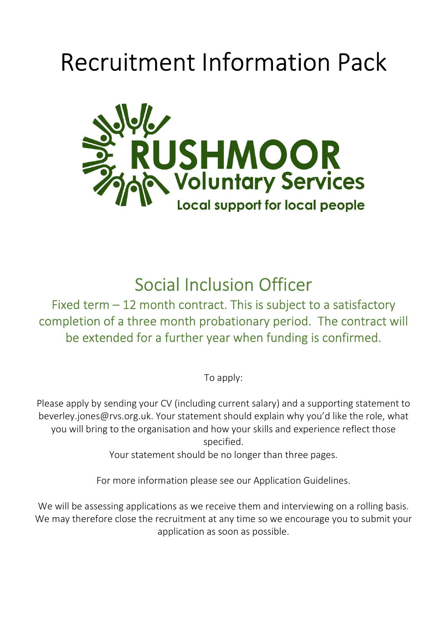# Recruitment Information Pack



Social Inclusion Officer

Fixed term – 12 month contract. This is subject to a satisfactory completion of a three month probationary period. The contract will be extended for a further year when funding is confirmed.

To apply:

Please apply by sending your CV (including current salary) and a supporting statement to beverley.jones@rvs.org.uk. Your statement should explain why you'd like the role, what you will bring to the organisation and how your skills and experience reflect those specified.

Your statement should be no longer than three pages.

For more information please see our Application Guidelines.

We will be assessing applications as we receive them and interviewing on a rolling basis. We may therefore close the recruitment at any time so we encourage you to submit your application as soon as possible.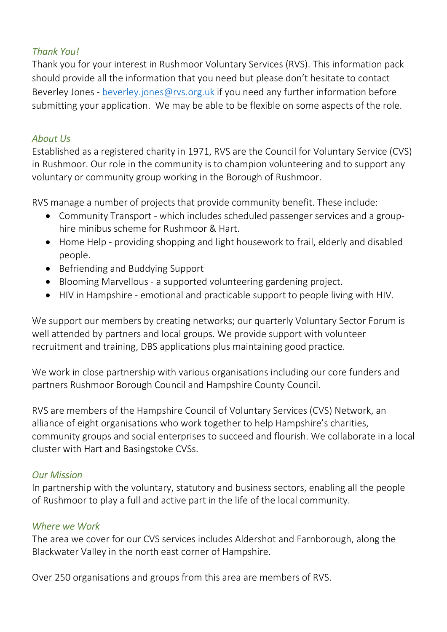## Thank You!

Thank you for your interest in Rushmoor Voluntary Services (RVS). This information pack should provide all the information that you need but please don't hesitate to contact Beverley Jones - beverley.jones@rvs.org.uk if you need any further information before submitting your application. We may be able to be flexible on some aspects of the role.

#### About Us

Established as a registered charity in 1971, RVS are the Council for Voluntary Service (CVS) in Rushmoor. Our role in the community is to champion volunteering and to support any voluntary or community group working in the Borough of Rushmoor.

RVS manage a number of projects that provide community benefit. These include:

- Community Transport which includes scheduled passenger services and a grouphire minibus scheme for Rushmoor & Hart.
- Home Help providing shopping and light housework to frail, elderly and disabled people.
- Befriending and Buddying Support
- Blooming Marvellous a supported volunteering gardening project.
- HIV in Hampshire emotional and practicable support to people living with HIV.

We support our members by creating networks; our quarterly Voluntary Sector Forum is well attended by partners and local groups. We provide support with volunteer recruitment and training, DBS applications plus maintaining good practice.

We work in close partnership with various organisations including our core funders and partners Rushmoor Borough Council and Hampshire County Council.

RVS are members of the Hampshire Council of Voluntary Services (CVS) Network, an alliance of eight organisations who work together to help Hampshire's charities, community groups and social enterprises to succeed and flourish. We collaborate in a local cluster with Hart and Basingstoke CVSs.

#### Our Mission

In partnership with the voluntary, statutory and business sectors, enabling all the people of Rushmoor to play a full and active part in the life of the local community.

#### Where we Work

The area we cover for our CVS services includes Aldershot and Farnborough, along the Blackwater Valley in the north east corner of Hampshire.

Over 250 organisations and groups from this area are members of RVS.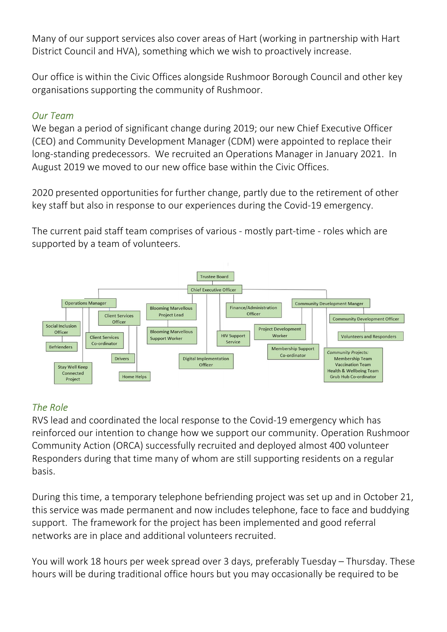Many of our support services also cover areas of Hart (working in partnership with Hart District Council and HVA), something which we wish to proactively increase.

Our office is within the Civic Offices alongside Rushmoor Borough Council and other key organisations supporting the community of Rushmoor.

## Our Team

We began a period of significant change during 2019; our new Chief Executive Officer (CEO) and Community Development Manager (CDM) were appointed to replace their long-standing predecessors. We recruited an Operations Manager in January 2021. In August 2019 we moved to our new office base within the Civic Offices.

2020 presented opportunities for further change, partly due to the retirement of other key staff but also in response to our experiences during the Covid-19 emergency.

The current paid staff team comprises of various - mostly part-time - roles which are supported by a team of volunteers.



# The Role

RVS lead and coordinated the local response to the Covid-19 emergency which has reinforced our intention to change how we support our community. Operation Rushmoor Community Action (ORCA) successfully recruited and deployed almost 400 volunteer Responders during that time many of whom are still supporting residents on a regular basis.

During this time, a temporary telephone befriending project was set up and in October 21, this service was made permanent and now includes telephone, face to face and buddying support. The framework for the project has been implemented and good referral networks are in place and additional volunteers recruited.

You will work 18 hours per week spread over 3 days, preferably Tuesday – Thursday. These hours will be during traditional office hours but you may occasionally be required to be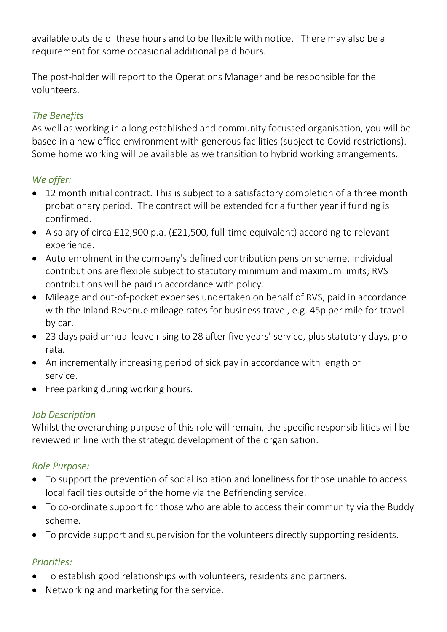available outside of these hours and to be flexible with notice. There may also be a requirement for some occasional additional paid hours.

The post-holder will report to the Operations Manager and be responsible for the volunteers.

# The Benefits

As well as working in a long established and community focussed organisation, you will be based in a new office environment with generous facilities (subject to Covid restrictions). Some home working will be available as we transition to hybrid working arrangements.

# We offer:

- 12 month initial contract. This is subject to a satisfactory completion of a three month probationary period. The contract will be extended for a further year if funding is confirmed.
- A salary of circa £12,900 p.a. (£21,500, full-time equivalent) according to relevant experience.
- Auto enrolment in the company's defined contribution pension scheme. Individual contributions are flexible subject to statutory minimum and maximum limits; RVS contributions will be paid in accordance with policy.
- Mileage and out-of-pocket expenses undertaken on behalf of RVS, paid in accordance with the Inland Revenue mileage rates for business travel, e.g. 45p per mile for travel by car.
- 23 days paid annual leave rising to 28 after five years' service, plus statutory days, prorata.
- An incrementally increasing period of sick pay in accordance with length of service.
- Free parking during working hours.

## Job Description

Whilst the overarching purpose of this role will remain, the specific responsibilities will be reviewed in line with the strategic development of the organisation.

## Role Purpose:

- To support the prevention of social isolation and loneliness for those unable to access local facilities outside of the home via the Befriending service.
- To co-ordinate support for those who are able to access their community via the Buddy scheme.
- To provide support and supervision for the volunteers directly supporting residents.

## Priorities:

- To establish good relationships with volunteers, residents and partners.
- Networking and marketing for the service.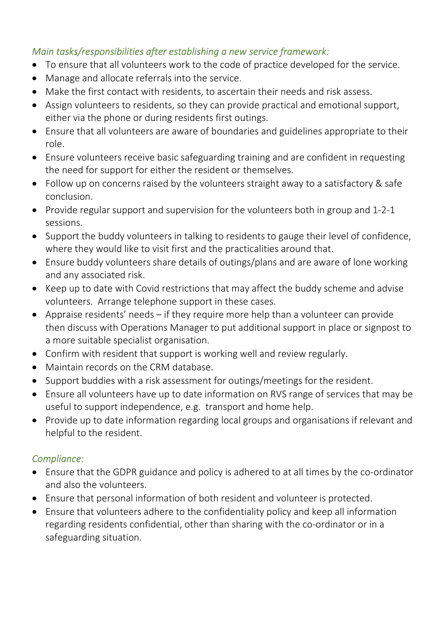## Main tasks/responsibilities after establishing a new service framework:

- To ensure that all volunteers work to the code of practice developed for the service.
- Manage and allocate referrals into the service.
- Make the first contact with residents, to ascertain their needs and risk assess.
- Assign volunteers to residents, so they can provide practical and emotional support, either via the phone or during residents first outings.
- Ensure that all volunteers are aware of boundaries and guidelines appropriate to their role.
- Ensure volunteers receive basic safeguarding training and are confident in requesting the need for support for either the resident or themselves.
- Follow up on concerns raised by the volunteers straight away to a satisfactory & safe conclusion.
- Provide regular support and supervision for the volunteers both in group and 1-2-1 sessions.
- Support the buddy volunteers in talking to residents to gauge their level of confidence, where they would like to visit first and the practicalities around that.
- Ensure buddy volunteers share details of outings/plans and are aware of lone working and any associated risk.
- Keep up to date with Covid restrictions that may affect the buddy scheme and advise volunteers. Arrange telephone support in these cases.
- Appraise residents' needs if they require more help than a volunteer can provide then discuss with Operations Manager to put additional support in place or signpost to a more suitable specialist organisation.
- Confirm with resident that support is working well and review regularly.
- Maintain records on the CRM database.
- Support buddies with a risk assessment for outings/meetings for the resident.
- Ensure all volunteers have up to date information on RVS range of services that may be useful to support independence, e.g. transport and home help.
- Provide up to date information regarding local groups and organisations if relevant and helpful to the resident.

## Compliance:

- Ensure that the GDPR guidance and policy is adhered to at all times by the co-ordinator and also the volunteers.
- Ensure that personal information of both resident and volunteer is protected.
- Ensure that volunteers adhere to the confidentiality policy and keep all information regarding residents confidential, other than sharing with the co-ordinator or in a safeguarding situation.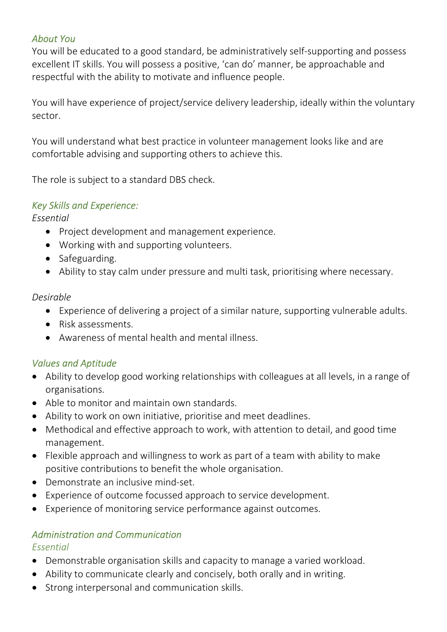## About You

You will be educated to a good standard, be administratively self-supporting and possess excellent IT skills. You will possess a positive, 'can do' manner, be approachable and respectful with the ability to motivate and influence people.

You will have experience of project/service delivery leadership, ideally within the voluntary sector.

You will understand what best practice in volunteer management looks like and are comfortable advising and supporting others to achieve this.

The role is subject to a standard DBS check.

## Key Skills and Experience:

Essential

- Project development and management experience.
- Working with and supporting volunteers.
- Safeguarding.
- Ability to stay calm under pressure and multi task, prioritising where necessary.

#### Desirable

- Experience of delivering a project of a similar nature, supporting vulnerable adults.
- Risk assessments.
- Awareness of mental health and mental illness.

# Values and Aptitude

- Ability to develop good working relationships with colleagues at all levels, in a range of organisations.
- Able to monitor and maintain own standards.
- Ability to work on own initiative, prioritise and meet deadlines.
- Methodical and effective approach to work, with attention to detail, and good time management.
- Flexible approach and willingness to work as part of a team with ability to make positive contributions to benefit the whole organisation.
- Demonstrate an inclusive mind-set.
- Experience of outcome focussed approach to service development.
- Experience of monitoring service performance against outcomes.

## Administration and Communication

#### Essential

- Demonstrable organisation skills and capacity to manage a varied workload.
- Ability to communicate clearly and concisely, both orally and in writing.
- Strong interpersonal and communication skills.